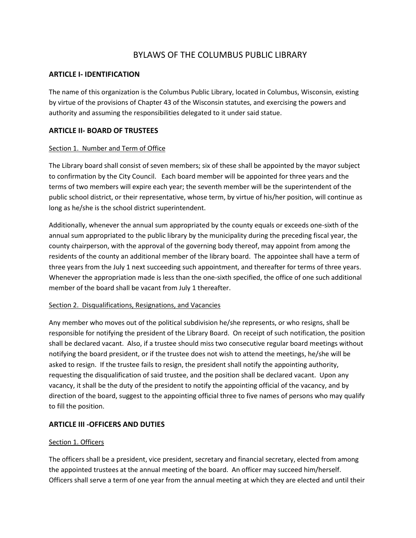# BYLAWS OF THE COLUMBUS PUBLIC LIBRARY

### **ARTICLE I- IDENTIFICATION**

The name of this organization is the Columbus Public Library, located in Columbus, Wisconsin, existing by virtue of the provisions of Chapter 43 of the Wisconsin statutes, and exercising the powers and authority and assuming the responsibilities delegated to it under said statue.

# **ARTICLE II- BOARD OF TRUSTEES**

#### Section 1. Number and Term of Office

The Library board shall consist of seven members; six of these shall be appointed by the mayor subject to confirmation by the City Council. Each board member will be appointed for three years and the terms of two members will expire each year; the seventh member will be the superintendent of the public school district, or their representative, whose term, by virtue of his/her position, will continue as long as he/she is the school district superintendent.

Additionally, whenever the annual sum appropriated by the county equals or exceeds one-sixth of the annual sum appropriated to the public library by the municipality during the preceding fiscal year, the county chairperson, with the approval of the governing body thereof, may appoint from among the residents of the county an additional member of the library board. The appointee shall have a term of three years from the July 1 next succeeding such appointment, and thereafter for terms of three years. Whenever the appropriation made is less than the one-sixth specified, the office of one such additional member of the board shall be vacant from July 1 thereafter.

#### Section 2. Disqualifications, Resignations, and Vacancies

Any member who moves out of the political subdivision he/she represents, or who resigns, shall be responsible for notifying the president of the Library Board. On receipt of such notification, the position shall be declared vacant. Also, if a trustee should miss two consecutive regular board meetings without notifying the board president, or if the trustee does not wish to attend the meetings, he/she will be asked to resign. If the trustee fails to resign, the president shall notify the appointing authority, requesting the disqualification of said trustee, and the position shall be declared vacant. Upon any vacancy, it shall be the duty of the president to notify the appointing official of the vacancy, and by direction of the board, suggest to the appointing official three to five names of persons who may qualify to fill the position.

# **ARTICLE III -OFFICERS AND DUTIES**

#### Section 1. Officers

The officers shall be a president, vice president, secretary and financial secretary, elected from among the appointed trustees at the annual meeting of the board. An officer may succeed him/herself. Officers shall serve a term of one year from the annual meeting at which they are elected and until their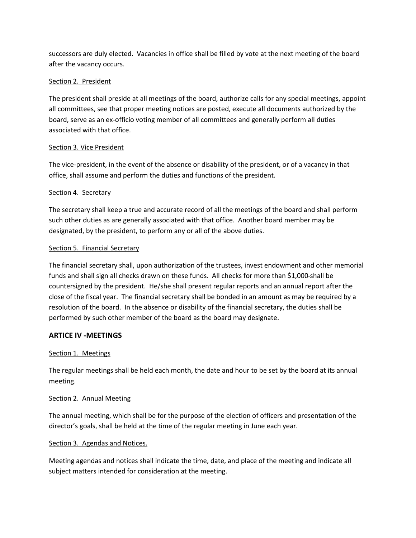successors are duly elected. Vacancies in office shall be filled by vote at the next meeting of the board after the vacancy occurs.

### Section 2. President

The president shall preside at all meetings of the board, authorize calls for any special meetings, appoint all committees, see that proper meeting notices are posted, execute all documents authorized by the board, serve as an ex-officio voting member of all committees and generally perform all duties associated with that office.

### Section 3. Vice President

The vice-president, in the event of the absence or disability of the president, or of a vacancy in that office, shall assume and perform the duties and functions of the president.

### Section 4. Secretary

The secretary shall keep a true and accurate record of all the meetings of the board and shall perform such other duties as are generally associated with that office. Another board member may be designated, by the president, to perform any or all of the above duties.

### Section 5. Financial Secretary

The financial secretary shall, upon authorization of the trustees, invest endowment and other memorial funds and shall sign all checks drawn on these funds. All checks for more than \$1,000 shall be countersigned by the president. He/she shall present regular reports and an annual report after the close of the fiscal year. The financial secretary shall be bonded in an amount as may be required by a resolution of the board. In the absence or disability of the financial secretary, the duties shall be performed by such other member of the board as the board may designate.

# **ARTICE IV -MEETINGS**

# Section 1. Meetings

The regular meetings shall be held each month, the date and hour to be set by the board at its annual meeting.

#### Section 2. Annual Meeting

The annual meeting, which shall be for the purpose of the election of officers and presentation of the director's goals, shall be held at the time of the regular meeting in June each year.

#### Section 3. Agendas and Notices.

Meeting agendas and notices shall indicate the time, date, and place of the meeting and indicate all subject matters intended for consideration at the meeting.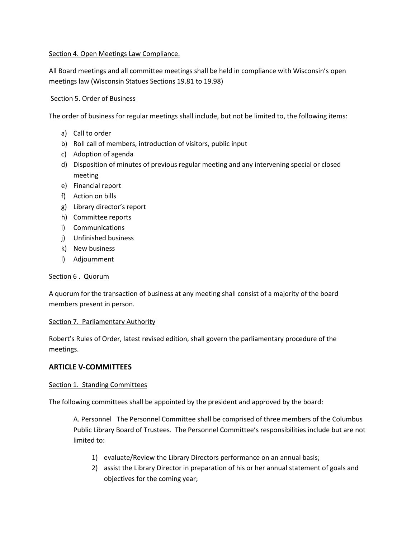### Section 4. Open Meetings Law Compliance.

All Board meetings and all committee meetings shall be held in compliance with Wisconsin's open meetings law (Wisconsin Statues Sections 19.81 to 19.98)

### Section 5. Order of Business

The order of business for regular meetings shall include, but not be limited to, the following items:

- a) Call to order
- b) Roll call of members, introduction of visitors, public input
- c) Adoption of agenda
- d) Disposition of minutes of previous regular meeting and any intervening special or closed meeting
- e) Financial report
- f) Action on bills
- g) Library director's report
- h) Committee reports
- i) Communications
- j) Unfinished business
- k) New business
- l) Adjournment

#### Section 6 . Quorum

A quorum for the transaction of business at any meeting shall consist of a majority of the board members present in person.

#### Section 7. Parliamentary Authority

Robert's Rules of Order, latest revised edition, shall govern the parliamentary procedure of the meetings.

# **ARTICLE V-COMMITTEES**

#### Section 1. Standing Committees

The following committees shall be appointed by the president and approved by the board:

A. Personnel The Personnel Committee shall be comprised of three members of the Columbus Public Library Board of Trustees. The Personnel Committee's responsibilities include but are not limited to:

- 1) evaluate/Review the Library Directors performance on an annual basis;
- 2) assist the Library Director in preparation of his or her annual statement of goals and objectives for the coming year;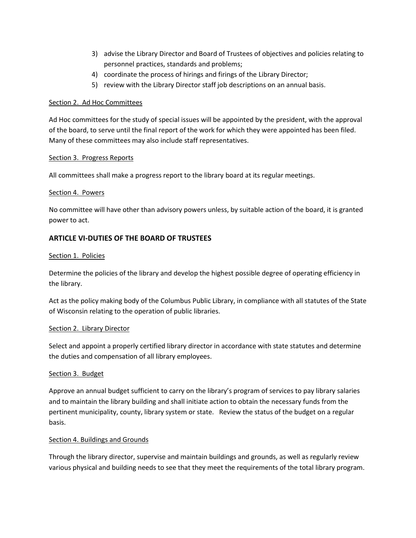- 3) advise the Library Director and Board of Trustees of objectives and policies relating to personnel practices, standards and problems;
- 4) coordinate the process of hirings and firings of the Library Director;
- 5) review with the Library Director staff job descriptions on an annual basis.

### Section 2. Ad Hoc Committees

Ad Hoc committees for the study of special issues will be appointed by the president, with the approval of the board, to serve until the final report of the work for which they were appointed has been filed. Many of these committees may also include staff representatives.

#### Section 3. Progress Reports

All committees shall make a progress report to the library board at its regular meetings.

### Section 4. Powers

No committee will have other than advisory powers unless, by suitable action of the board, it is granted power to act.

# **ARTICLE VI-DUTIES OF THE BOARD OF TRUSTEES**

### Section 1. Policies

Determine the policies of the library and develop the highest possible degree of operating efficiency in the library.

Act as the policy making body of the Columbus Public Library, in compliance with all statutes of the State of Wisconsin relating to the operation of public libraries.

# Section 2. Library Director

Select and appoint a properly certified library director in accordance with state statutes and determine the duties and compensation of all library employees.

# Section 3. Budget

Approve an annual budget sufficient to carry on the library's program of services to pay library salaries and to maintain the library building and shall initiate action to obtain the necessary funds from the pertinent municipality, county, library system or state. Review the status of the budget on a regular basis.

# Section 4. Buildings and Grounds

Through the library director, supervise and maintain buildings and grounds, as well as regularly review various physical and building needs to see that they meet the requirements of the total library program.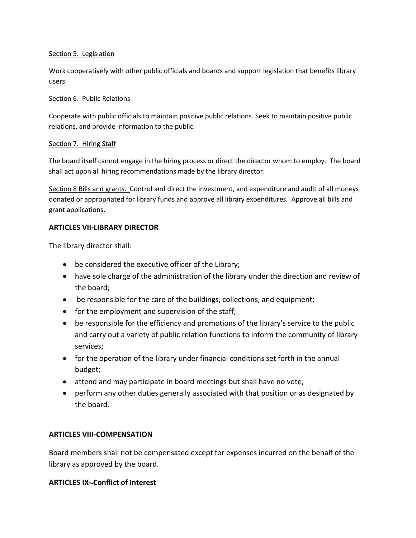### Section 5. Legislation

Work cooperatively with other public officials and boards and support legislation that benefits library users.

### Section 6. Public Relations

Cooperate with public officials to maintain positive public relations. Seek to maintain positive public relations, and provide information to the public.

# Section 7. Hiring Staff

The board itself cannot engage in the hiring process or direct the director whom to employ. The board shall act upon all hiring recommendations made by the library director.

Section 8 Bills and grants. Control and direct the investment, and expenditure and audit of all moneys donated or appropriated for library funds and approve all library expenditures. Approve all bills and grant applications.

# **ARTICLES VII-LIBRARY DIRECTOR**

The library director shall:

- be considered the executive officer of the Library;
- have sole charge of the administration of the library under the direction and review of the board;
- be responsible for the care of the buildings, collections, and equipment;
- for the employment and supervision of the staff;
- be responsible for the efficiency and promotions of the library's service to the public and carry out a variety of public relation functions to inform the community of library services;
- for the operation of the library under financial conditions set forth in the annual budget;
- attend and may participate in board meetings but shall have no vote;
- perform any other duties generally associated with that position or as designated by the board.

# **ARTICLES VIII-COMPENSATION**

Board members shall not be compensated except for expenses incurred on the behalf of the library as approved by the board.

# **ARTICLES IX- Conflict of Interest**